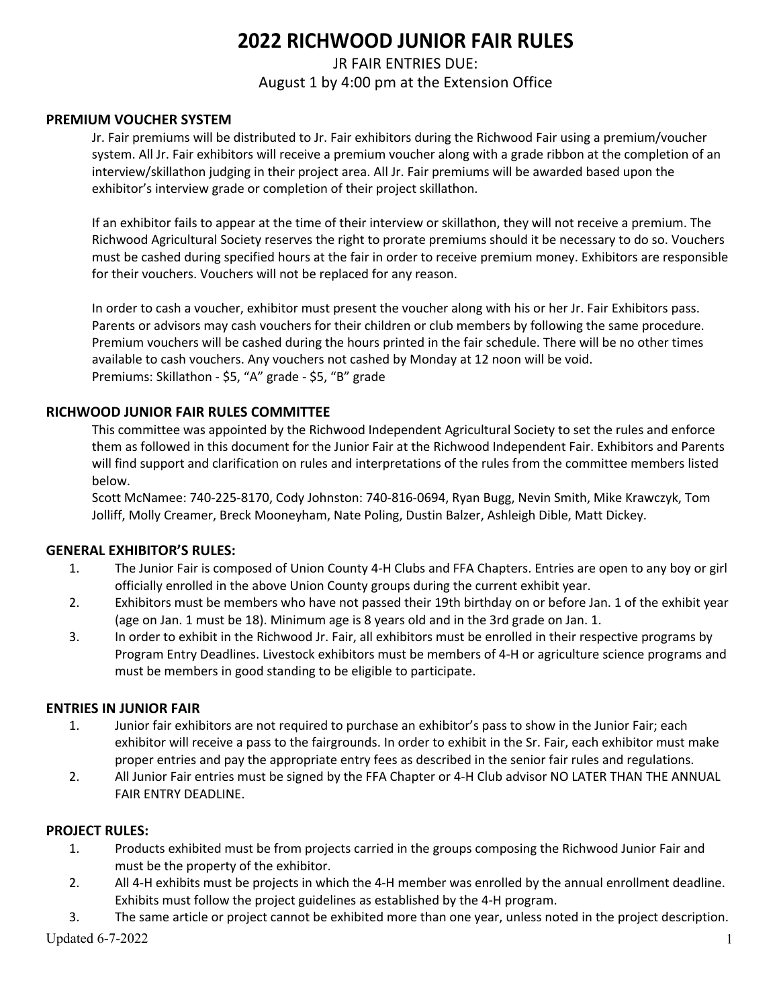# **2022 RICHWOOD JUNIOR FAIR RULES**

# JR FAIR ENTRIES DUE: August 1 by 4:00 pm at the Extension Office

## **PREMIUM VOUCHER SYSTEM**

Jr. Fair premiums will be distributed to Jr. Fair exhibitors during the Richwood Fair using a premium/voucher system. All Jr. Fair exhibitors will receive a premium voucher along with a grade ribbon at the completion of an interview/skillathon judging in their project area. All Jr. Fair premiums will be awarded based upon the exhibitor's interview grade or completion of their project skillathon.

If an exhibitor fails to appear at the time of their interview or skillathon, they will not receive a premium. The Richwood Agricultural Society reserves the right to prorate premiums should it be necessary to do so. Vouchers must be cashed during specified hours at the fair in order to receive premium money. Exhibitors are responsible for their vouchers. Vouchers will not be replaced for any reason.

In order to cash a voucher, exhibitor must present the voucher along with his or her Jr. Fair Exhibitors pass. Parents or advisors may cash vouchers for their children or club members by following the same procedure. Premium vouchers will be cashed during the hours printed in the fair schedule. There will be no other times available to cash vouchers. Any vouchers not cashed by Monday at 12 noon will be void. Premiums: Skillathon - \$5, "A" grade - \$5, "B" grade

## **RICHWOOD JUNIOR FAIR RULES COMMITTEE**

This committee was appointed by the Richwood Independent Agricultural Society to set the rules and enforce them as followed in this document for the Junior Fair at the Richwood Independent Fair. Exhibitors and Parents will find support and clarification on rules and interpretations of the rules from the committee members listed below.

Scott McNamee: 740-225-8170, Cody Johnston: 740-816-0694, Ryan Bugg, Nevin Smith, Mike Krawczyk, Tom Jolliff, Molly Creamer, Breck Mooneyham, Nate Poling, Dustin Balzer, Ashleigh Dible, Matt Dickey.

# **GENERAL EXHIBITOR'S RULES:**

- 1. The Junior Fair is composed of Union County 4-H Clubs and FFA Chapters. Entries are open to any boy or girl officially enrolled in the above Union County groups during the current exhibit year.
- 2. Exhibitors must be members who have not passed their 19th birthday on or before Jan. 1 of the exhibit year (age on Jan. 1 must be 18). Minimum age is 8 years old and in the 3rd grade on Jan. 1.
- 3. In order to exhibit in the Richwood Jr. Fair, all exhibitors must be enrolled in their respective programs by Program Entry Deadlines. Livestock exhibitors must be members of 4-H or agriculture science programs and must be members in good standing to be eligible to participate.

### **ENTRIES IN JUNIOR FAIR**

- 1. Junior fair exhibitors are not required to purchase an exhibitor's pass to show in the Junior Fair; each exhibitor will receive a pass to the fairgrounds. In order to exhibit in the Sr. Fair, each exhibitor must make proper entries and pay the appropriate entry fees as described in the senior fair rules and regulations.
- 2. All Junior Fair entries must be signed by the FFA Chapter or 4-H Club advisor NO LATER THAN THE ANNUAL FAIR ENTRY DEADLINE.

### **PROJECT RULES:**

- 1. Products exhibited must be from projects carried in the groups composing the Richwood Junior Fair and must be the property of the exhibitor.
- 2. All 4-H exhibits must be projects in which the 4-H member was enrolled by the annual enrollment deadline. Exhibits must follow the project guidelines as established by the 4-H program.
- Updated  $6-7-2022$  1 3. The same article or project cannot be exhibited more than one year, unless noted in the project description.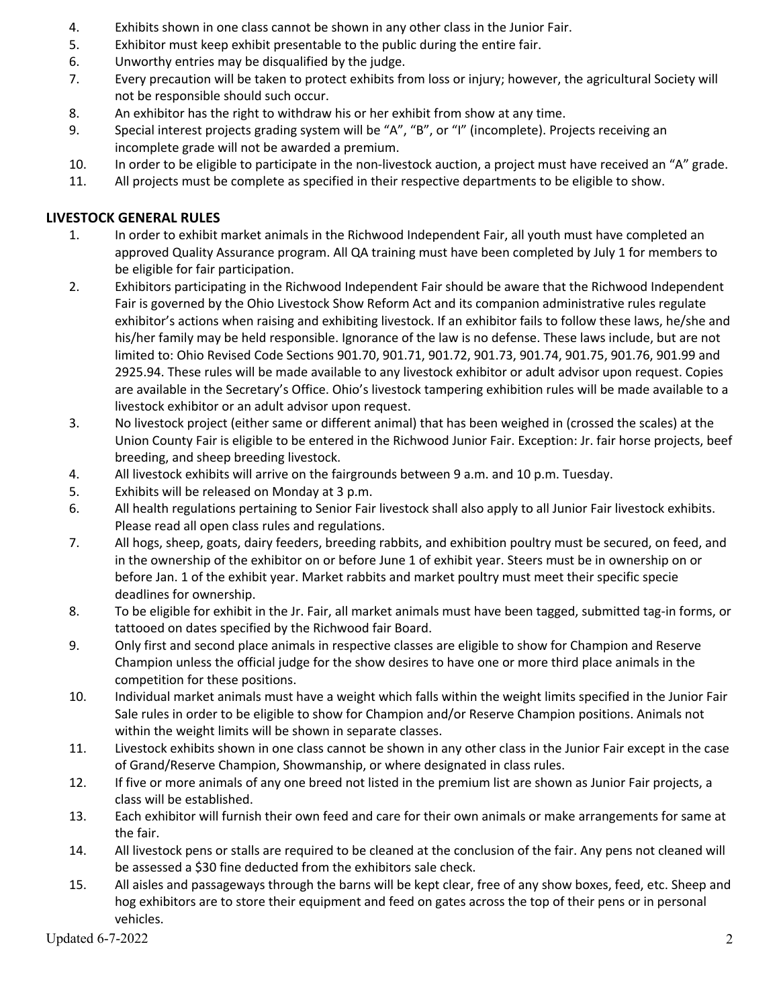- 4. Exhibits shown in one class cannot be shown in any other class in the Junior Fair.
- 5. Exhibitor must keep exhibit presentable to the public during the entire fair.
- 6. Unworthy entries may be disqualified by the judge.
- 7. Every precaution will be taken to protect exhibits from loss or injury; however, the agricultural Society will not be responsible should such occur.
- 8. An exhibitor has the right to withdraw his or her exhibit from show at any time.
- 9. Special interest projects grading system will be "A", "B", or "I" (incomplete). Projects receiving an incomplete grade will not be awarded a premium.
- 10. In order to be eligible to participate in the non-livestock auction, a project must have received an "A" grade.
- 11. All projects must be complete as specified in their respective departments to be eligible to show.

# **LIVESTOCK GENERAL RULES**

- 1. In order to exhibit market animals in the Richwood Independent Fair, all youth must have completed an approved Quality Assurance program. All QA training must have been completed by July 1 for members to be eligible for fair participation.
- 2. Exhibitors participating in the Richwood Independent Fair should be aware that the Richwood Independent Fair is governed by the Ohio Livestock Show Reform Act and its companion administrative rules regulate exhibitor's actions when raising and exhibiting livestock. If an exhibitor fails to follow these laws, he/she and his/her family may be held responsible. Ignorance of the law is no defense. These laws include, but are not limited to: Ohio Revised Code Sections 901.70, 901.71, 901.72, 901.73, 901.74, 901.75, 901.76, 901.99 and 2925.94. These rules will be made available to any livestock exhibitor or adult advisor upon request. Copies are available in the Secretary's Office. Ohio's livestock tampering exhibition rules will be made available to a livestock exhibitor or an adult advisor upon request.
- 3. No livestock project (either same or different animal) that has been weighed in (crossed the scales) at the Union County Fair is eligible to be entered in the Richwood Junior Fair. Exception: Jr. fair horse projects, beef breeding, and sheep breeding livestock.
- 4. All livestock exhibits will arrive on the fairgrounds between 9 a.m. and 10 p.m. Tuesday.
- 5. Exhibits will be released on Monday at 3 p.m.
- 6. All health regulations pertaining to Senior Fair livestock shall also apply to all Junior Fair livestock exhibits. Please read all open class rules and regulations.
- 7. All hogs, sheep, goats, dairy feeders, breeding rabbits, and exhibition poultry must be secured, on feed, and in the ownership of the exhibitor on or before June 1 of exhibit year. Steers must be in ownership on or before Jan. 1 of the exhibit year. Market rabbits and market poultry must meet their specific specie deadlines for ownership.
- 8. To be eligible for exhibit in the Jr. Fair, all market animals must have been tagged, submitted tag-in forms, or tattooed on dates specified by the Richwood fair Board.
- 9. Only first and second place animals in respective classes are eligible to show for Champion and Reserve Champion unless the official judge for the show desires to have one or more third place animals in the competition for these positions.
- 10. Individual market animals must have a weight which falls within the weight limits specified in the Junior Fair Sale rules in order to be eligible to show for Champion and/or Reserve Champion positions. Animals not within the weight limits will be shown in separate classes.
- 11. Livestock exhibits shown in one class cannot be shown in any other class in the Junior Fair except in the case of Grand/Reserve Champion, Showmanship, or where designated in class rules.
- 12. If five or more animals of any one breed not listed in the premium list are shown as Junior Fair projects, a class will be established.
- 13. Each exhibitor will furnish their own feed and care for their own animals or make arrangements for same at the fair.
- 14. All livestock pens or stalls are required to be cleaned at the conclusion of the fair. Any pens not cleaned will be assessed a \$30 fine deducted from the exhibitors sale check.
- 15. All aisles and passageways through the barns will be kept clear, free of any show boxes, feed, etc. Sheep and hog exhibitors are to store their equipment and feed on gates across the top of their pens or in personal vehicles.

Updated 6-7-2022 2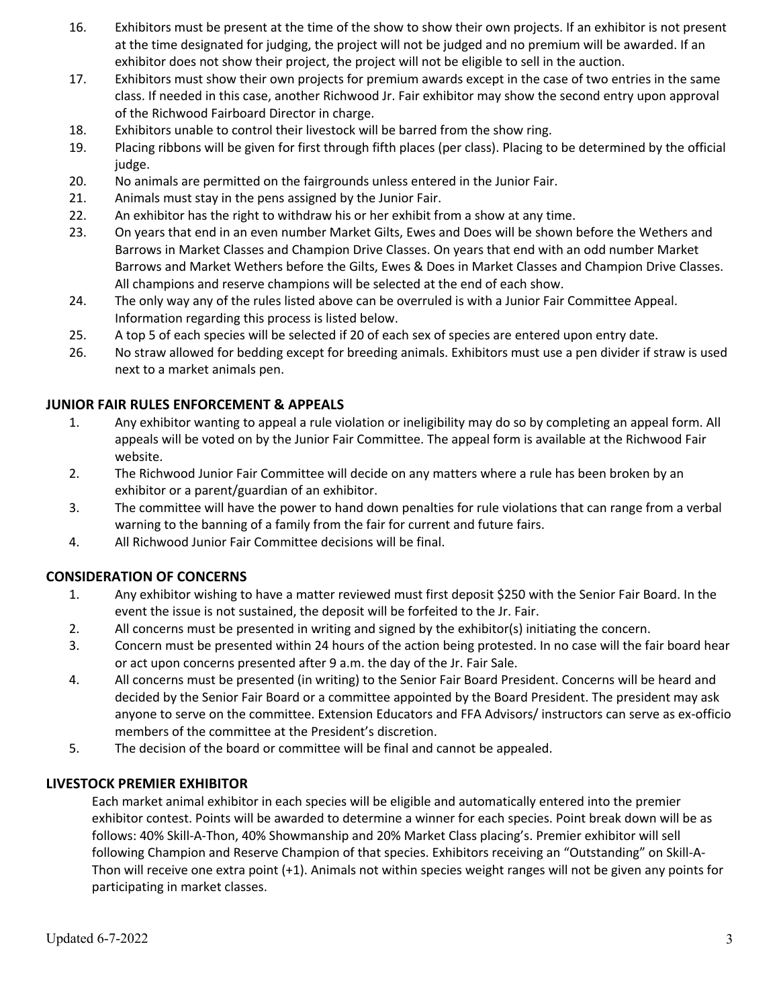- 16. Exhibitors must be present at the time of the show to show their own projects. If an exhibitor is not present at the time designated for judging, the project will not be judged and no premium will be awarded. If an exhibitor does not show their project, the project will not be eligible to sell in the auction.
- 17. Exhibitors must show their own projects for premium awards except in the case of two entries in the same class. If needed in this case, another Richwood Jr. Fair exhibitor may show the second entry upon approval of the Richwood Fairboard Director in charge.
- 18. Exhibitors unable to control their livestock will be barred from the show ring.
- 19. Placing ribbons will be given for first through fifth places (per class). Placing to be determined by the official judge.
- 20. No animals are permitted on the fairgrounds unless entered in the Junior Fair.
- 21. Animals must stay in the pens assigned by the Junior Fair.
- 22. An exhibitor has the right to withdraw his or her exhibit from a show at any time.
- 23. On years that end in an even number Market Gilts, Ewes and Does will be shown before the Wethers and Barrows in Market Classes and Champion Drive Classes. On years that end with an odd number Market Barrows and Market Wethers before the Gilts, Ewes & Does in Market Classes and Champion Drive Classes. All champions and reserve champions will be selected at the end of each show.
- 24. The only way any of the rules listed above can be overruled is with a Junior Fair Committee Appeal. Information regarding this process is listed below.
- 25. A top 5 of each species will be selected if 20 of each sex of species are entered upon entry date.
- 26. No straw allowed for bedding except for breeding animals. Exhibitors must use a pen divider if straw is used next to a market animals pen.

### **JUNIOR FAIR RULES ENFORCEMENT & APPEALS**

- 1. Any exhibitor wanting to appeal a rule violation or ineligibility may do so by completing an appeal form. All appeals will be voted on by the Junior Fair Committee. The appeal form is available at the Richwood Fair website.
- 2. The Richwood Junior Fair Committee will decide on any matters where a rule has been broken by an exhibitor or a parent/guardian of an exhibitor.
- 3. The committee will have the power to hand down penalties for rule violations that can range from a verbal warning to the banning of a family from the fair for current and future fairs.
- 4. All Richwood Junior Fair Committee decisions will be final.

### **CONSIDERATION OF CONCERNS**

- 1. Any exhibitor wishing to have a matter reviewed must first deposit \$250 with the Senior Fair Board. In the event the issue is not sustained, the deposit will be forfeited to the Jr. Fair.
- 2. All concerns must be presented in writing and signed by the exhibitor(s) initiating the concern.
- 3. Concern must be presented within 24 hours of the action being protested. In no case will the fair board hear or act upon concerns presented after 9 a.m. the day of the Jr. Fair Sale.
- 4. All concerns must be presented (in writing) to the Senior Fair Board President. Concerns will be heard and decided by the Senior Fair Board or a committee appointed by the Board President. The president may ask anyone to serve on the committee. Extension Educators and FFA Advisors/ instructors can serve as ex-officio members of the committee at the President's discretion.
- 5. The decision of the board or committee will be final and cannot be appealed.

### **LIVESTOCK PREMIER EXHIBITOR**

Each market animal exhibitor in each species will be eligible and automatically entered into the premier exhibitor contest. Points will be awarded to determine a winner for each species. Point break down will be as follows: 40% Skill-A-Thon, 40% Showmanship and 20% Market Class placing's. Premier exhibitor will sell following Champion and Reserve Champion of that species. Exhibitors receiving an "Outstanding" on Skill-A-Thon will receive one extra point (+1). Animals not within species weight ranges will not be given any points for participating in market classes.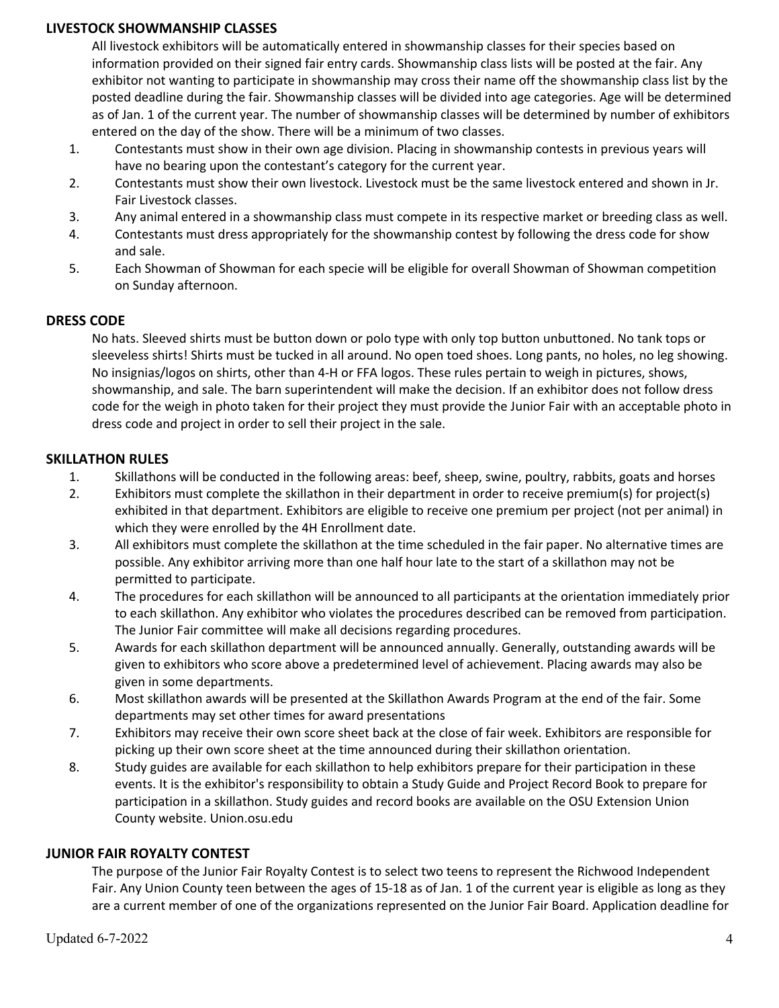## **LIVESTOCK SHOWMANSHIP CLASSES**

All livestock exhibitors will be automatically entered in showmanship classes for their species based on information provided on their signed fair entry cards. Showmanship class lists will be posted at the fair. Any exhibitor not wanting to participate in showmanship may cross their name off the showmanship class list by the posted deadline during the fair. Showmanship classes will be divided into age categories. Age will be determined as of Jan. 1 of the current year. The number of showmanship classes will be determined by number of exhibitors entered on the day of the show. There will be a minimum of two classes.

- 1. Contestants must show in their own age division. Placing in showmanship contests in previous years will have no bearing upon the contestant's category for the current year.
- 2. Contestants must show their own livestock. Livestock must be the same livestock entered and shown in Jr. Fair Livestock classes.
- 3. Any animal entered in a showmanship class must compete in its respective market or breeding class as well.
- 4. Contestants must dress appropriately for the showmanship contest by following the dress code for show and sale.
- 5. Each Showman of Showman for each specie will be eligible for overall Showman of Showman competition on Sunday afternoon.

## **DRESS CODE**

No hats. Sleeved shirts must be button down or polo type with only top button unbuttoned. No tank tops or sleeveless shirts! Shirts must be tucked in all around. No open toed shoes. Long pants, no holes, no leg showing. No insignias/logos on shirts, other than 4-H or FFA logos. These rules pertain to weigh in pictures, shows, showmanship, and sale. The barn superintendent will make the decision. If an exhibitor does not follow dress code for the weigh in photo taken for their project they must provide the Junior Fair with an acceptable photo in dress code and project in order to sell their project in the sale.

## **SKILLATHON RULES**

- 1. Skillathons will be conducted in the following areas: beef, sheep, swine, poultry, rabbits, goats and horses
- 2. Exhibitors must complete the skillathon in their department in order to receive premium(s) for project(s) exhibited in that department. Exhibitors are eligible to receive one premium per project (not per animal) in which they were enrolled by the 4H Enrollment date.
- 3. All exhibitors must complete the skillathon at the time scheduled in the fair paper. No alternative times are possible. Any exhibitor arriving more than one half hour late to the start of a skillathon may not be permitted to participate.
- 4. The procedures for each skillathon will be announced to all participants at the orientation immediately prior to each skillathon. Any exhibitor who violates the procedures described can be removed from participation. The Junior Fair committee will make all decisions regarding procedures.
- 5. Awards for each skillathon department will be announced annually. Generally, outstanding awards will be given to exhibitors who score above a predetermined level of achievement. Placing awards may also be given in some departments.
- 6. Most skillathon awards will be presented at the Skillathon Awards Program at the end of the fair. Some departments may set other times for award presentations
- 7. Exhibitors may receive their own score sheet back at the close of fair week. Exhibitors are responsible for picking up their own score sheet at the time announced during their skillathon orientation.
- 8. Study guides are available for each skillathon to help exhibitors prepare for their participation in these events. It is the exhibitor's responsibility to obtain a Study Guide and Project Record Book to prepare for participation in a skillathon. Study guides and record books are available on the OSU Extension Union County website. Union.osu.edu

### **JUNIOR FAIR ROYALTY CONTEST**

The purpose of the Junior Fair Royalty Contest is to select two teens to represent the Richwood Independent Fair. Any Union County teen between the ages of 15-18 as of Jan. 1 of the current year is eligible as long as they are a current member of one of the organizations represented on the Junior Fair Board. Application deadline for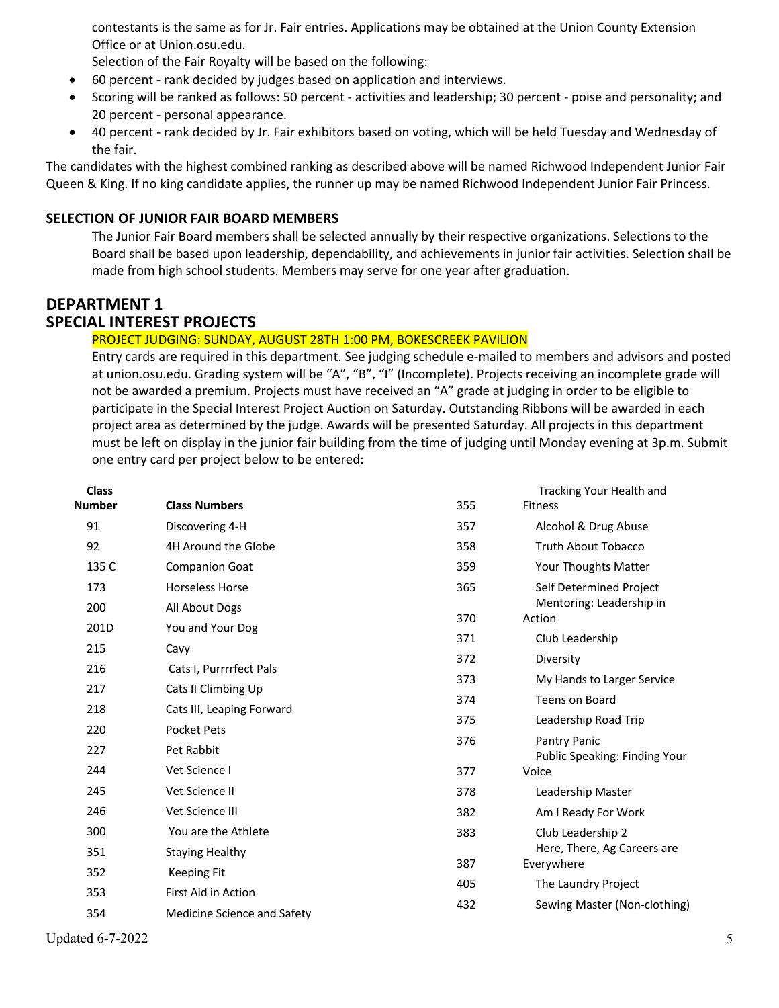contestants is the same as for Jr. Fair entries. Applications may be obtained at the Union County Extension Office or at Union.osu.edu.

Selection of the Fair Royalty will be based on the following:

- 60 percent rank decided by judges based on application and interviews.
- Scoring will be ranked as follows: 50 percent activities and leadership; 30 percent poise and personality; and 20 percent - personal appearance.
- 40 percent rank decided by Jr. Fair exhibitors based on voting, which will be held Tuesday and Wednesday of the fair.

The candidates with the highest combined ranking as described above will be named Richwood Independent Junior Fair Queen & King. If no king candidate applies, the runner up may be named Richwood Independent Junior Fair Princess.

# **SELECTION OF JUNIOR FAIR BOARD MEMBERS**

The Junior Fair Board members shall be selected annually by their respective organizations. Selections to the Board shall be based upon leadership, dependability, and achievements in junior fair activities. Selection shall be made from high school students. Members may serve for one year after graduation.

# **DEPARTMENT 1 SPECIAL INTEREST PROJECTS**

## PROJECT JUDGING: SUNDAY, AUGUST 28TH 1:00 PM, BOKESCREEK PAVILION

Entry cards are required in this department. See judging schedule e-mailed to members and advisors and posted at union.osu.edu. Grading system will be "A", "B", "I" (Incomplete). Projects receiving an incomplete grade will not be awarded a premium. Projects must have received an "A" grade at judging in order to be eligible to participate in the Special Interest Project Auction on Saturday. Outstanding Ribbons will be awarded in each project area as determined by the judge. Awards will be presented Saturday. All projects in this department must be left on display in the junior fair building from the time of judging until Monday evening at 3p.m. Submit one entry card per project below to be entered:

| <b>Class</b><br><b>Number</b> | <b>Class Numbers</b>        | 355 | Tracking Your Health and<br>Fitness |
|-------------------------------|-----------------------------|-----|-------------------------------------|
| 91                            | Discovering 4-H             | 357 | Alcohol & Drug Abuse                |
| 92                            | 4H Around the Globe         | 358 | Truth About Tobacco                 |
| 135 C                         | <b>Companion Goat</b>       | 359 | Your Thoughts Matter                |
| 173                           | <b>Horseless Horse</b>      | 365 | Self Determined Project             |
| 200                           | All About Dogs              |     | Mentoring: Leadership in            |
| 201D                          | You and Your Dog            | 370 | Action                              |
| 215                           | Cavy                        | 371 | Club Leadership                     |
| 216                           | Cats I, Purrrrfect Pals     | 372 | Diversity                           |
| 217                           | Cats II Climbing Up         | 373 | My Hands to Larger Service          |
|                               |                             | 374 | Teens on Board                      |
| 218                           | Cats III, Leaping Forward   | 375 | Leadership Road Trip                |
| 220                           | <b>Pocket Pets</b>          | 376 | Pantry Panic                        |
| 227                           | Pet Rabbit                  |     | Public Speaking: Finding Your       |
| 244                           | Vet Science I               | 377 | Voice                               |
| 245                           | Vet Science II              | 378 | Leadership Master                   |
| 246                           | Vet Science III             | 382 | Am I Ready For Work                 |
| 300                           | You are the Athlete         | 383 | Club Leadership 2                   |
| 351                           | <b>Staying Healthy</b>      |     | Here, There, Ag Careers are         |
| 352                           | <b>Keeping Fit</b>          | 387 | Everywhere                          |
| 353                           | First Aid in Action         | 405 | The Laundry Project                 |
| 354                           | Medicine Science and Safety | 432 | Sewing Master (Non-clothing)        |

Updated 6-7-2022  $\qquad \qquad$  5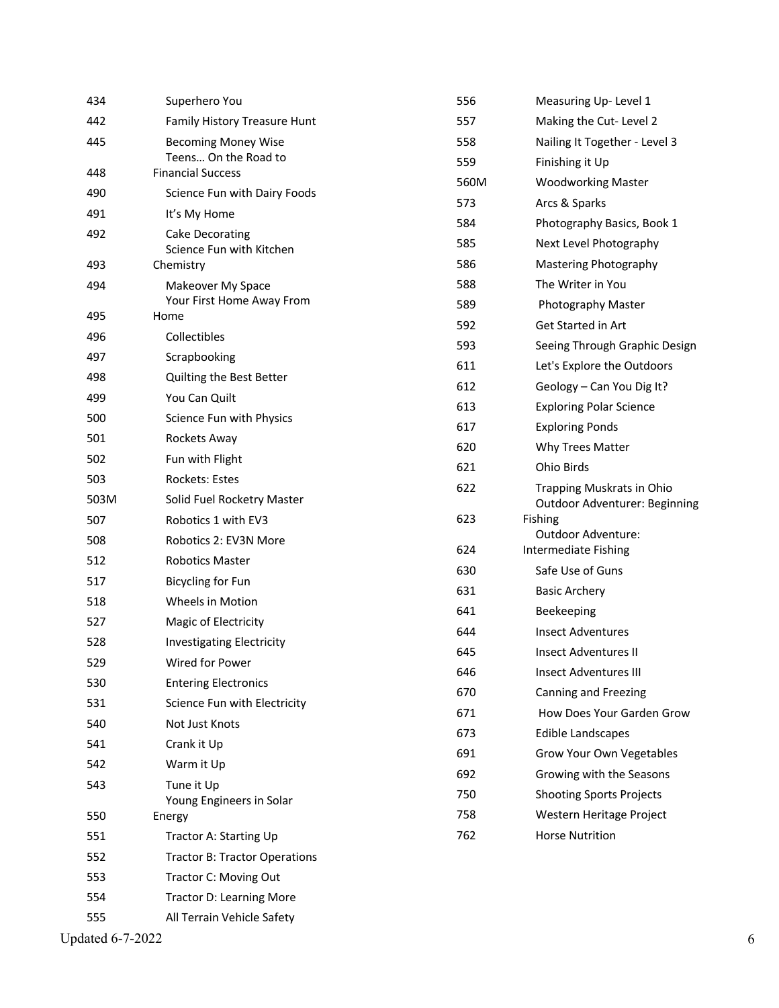| 434  | Superhero You                                      | 556  | Measuring Up-Level 1            |
|------|----------------------------------------------------|------|---------------------------------|
| 442  | Family History Treasure Hunt                       | 557  | Making the Cut-Level 2          |
| 445  | <b>Becoming Money Wise</b>                         | 558  | Nailing It Together - Level 3   |
|      | Teens On the Road to                               | 559  | Finishing it Up                 |
| 448  | <b>Financial Success</b>                           | 560M | <b>Woodworking Master</b>       |
| 490  | Science Fun with Dairy Foods                       | 573  | Arcs & Sparks                   |
| 491  | It's My Home                                       | 584  | Photography Basics, Book 1      |
| 492  | <b>Cake Decorating</b><br>Science Fun with Kitchen | 585  | Next Level Photography          |
| 493  | Chemistry                                          | 586  | Mastering Photography           |
| 494  | Makeover My Space                                  | 588  | The Writer in You               |
|      | Your First Home Away From                          | 589  | Photography Master              |
| 495  | Home                                               | 592  | Get Started in Art              |
| 496  | Collectibles                                       | 593  | Seeing Through Graphic Design   |
| 497  | Scrapbooking                                       | 611  | Let's Explore the Outdoors      |
| 498  | Quilting the Best Better                           | 612  | Geology - Can You Dig It?       |
| 499  | You Can Quilt                                      | 613  | <b>Exploring Polar Science</b>  |
| 500  | Science Fun with Physics                           | 617  | <b>Exploring Ponds</b>          |
| 501  | Rockets Away                                       | 620  | Why Trees Matter                |
| 502  | Fun with Flight                                    | 621  | Ohio Birds                      |
| 503  | Rockets: Estes                                     | 622  | Trapping Muskrats in Ohio       |
| 503M | Solid Fuel Rocketry Master                         |      | Outdoor Adventurer: Beginning   |
| 507  | Robotics 1 with EV3                                | 623  | Fishing<br>Outdoor Adventure:   |
| 508  | Robotics 2: EV3N More                              | 624  | Intermediate Fishing            |
| 512  | <b>Robotics Master</b>                             | 630  | Safe Use of Guns                |
| 517  | <b>Bicycling for Fun</b>                           | 631  | <b>Basic Archery</b>            |
| 518  | Wheels in Motion                                   | 641  | Beekeeping                      |
| 527  | Magic of Electricity                               | 644  | <b>Insect Adventures</b>        |
| 528  | <b>Investigating Electricity</b>                   | 645  | <b>Insect Adventures II</b>     |
| 529  | Wired for Power                                    | 646  | <b>Insect Adventures III</b>    |
| 530  | <b>Entering Electronics</b>                        | 670  | Canning and Freezing            |
| 531  | Science Fun with Electricity                       | 671  | How Does Your Garden Grow       |
| 540  | Not Just Knots                                     | 673  | Edible Landscapes               |
| 541  | Crank it Up                                        | 691  | Grow Your Own Vegetables        |
| 542  | Warm it Up                                         | 692  | Growing with the Seasons        |
| 543  | Tune it Up                                         | 750  | <b>Shooting Sports Projects</b> |
| 550  | Young Engineers in Solar<br>Energy                 | 758  | Western Heritage Project        |
| 551  | Tractor A: Starting Up                             | 762  | <b>Horse Nutrition</b>          |
| 552  | <b>Tractor B: Tractor Operations</b>               |      |                                 |
| 553  | Tractor C: Moving Out                              |      |                                 |
| 554  | <b>Tractor D: Learning More</b>                    |      |                                 |
| 555  | All Terrain Vehicle Safety                         |      |                                 |
|      |                                                    |      |                                 |

Updated 6 - 7 -2022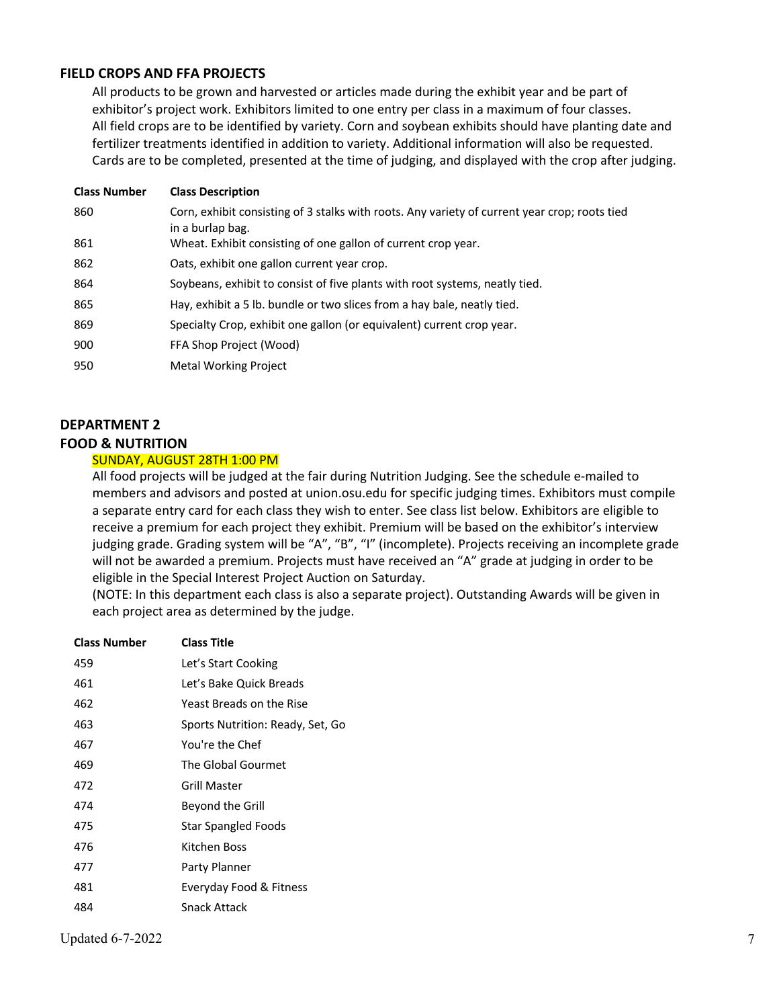## **FIELD CROPS AND FFA PROJECTS**

All products to be grown and harvested or articles made during the exhibit year and be part of exhibitor's project work. Exhibitors limited to one entry per class in a maximum of four classes. All field crops are to be identified by variety. Corn and soybean exhibits should have planting date and fertilizer treatments identified in addition to variety. Additional information will also be requested. Cards are to be completed, presented at the time of judging, and displayed with the crop after judging.

| <b>Class Number</b> | <b>Class Description</b>                                                                                          |
|---------------------|-------------------------------------------------------------------------------------------------------------------|
| 860                 | Corn, exhibit consisting of 3 stalks with roots. Any variety of current year crop; roots tied<br>in a burlap bag. |
| 861                 | Wheat. Exhibit consisting of one gallon of current crop year.                                                     |
| 862                 | Oats, exhibit one gallon current year crop.                                                                       |
| 864                 | Soybeans, exhibit to consist of five plants with root systems, neatly tied.                                       |
| 865                 | Hay, exhibit a 5 lb. bundle or two slices from a hay bale, neatly tied.                                           |
| 869                 | Specialty Crop, exhibit one gallon (or equivalent) current crop year.                                             |
| 900                 | FFA Shop Project (Wood)                                                                                           |
| 950                 | <b>Metal Working Project</b>                                                                                      |

### **DEPARTMENT 2**

#### **FOOD & NUTRITION**

#### SUNDAY, AUGUST 28TH 1:00 PM

All food projects will be judged at the fair during Nutrition Judging. See the schedule e-mailed to members and advisors and posted at union.osu.edu for specific judging times. Exhibitors must compile a separate entry card for each class they wish to enter. See class list below. Exhibitors are eligible to receive a premium for each project they exhibit. Premium will be based on the exhibitor's interview judging grade. Grading system will be "A", "B", "I" (incomplete). Projects receiving an incomplete grade will not be awarded a premium. Projects must have received an "A" grade at judging in order to be eligible in the Special Interest Project Auction on Saturday.

(NOTE: In this department each class is also a separate project). Outstanding Awards will be given in each project area as determined by the judge.

| <b>Class Number</b> | <b>Class Title</b>               |
|---------------------|----------------------------------|
| 459                 | Let's Start Cooking              |
| 461                 | Let's Bake Quick Breads          |
| 462                 | Yeast Breads on the Rise         |
| 463                 | Sports Nutrition: Ready, Set, Go |
| 467                 | You're the Chef                  |
| 469                 | The Global Gourmet               |
| 472                 | Grill Master                     |
| 474                 | Beyond the Grill                 |
| 475                 | <b>Star Spangled Foods</b>       |
| 476                 | Kitchen Boss                     |
| 477                 | Party Planner                    |
| 481                 | Everyday Food & Fitness          |
| 484                 | Snack Attack                     |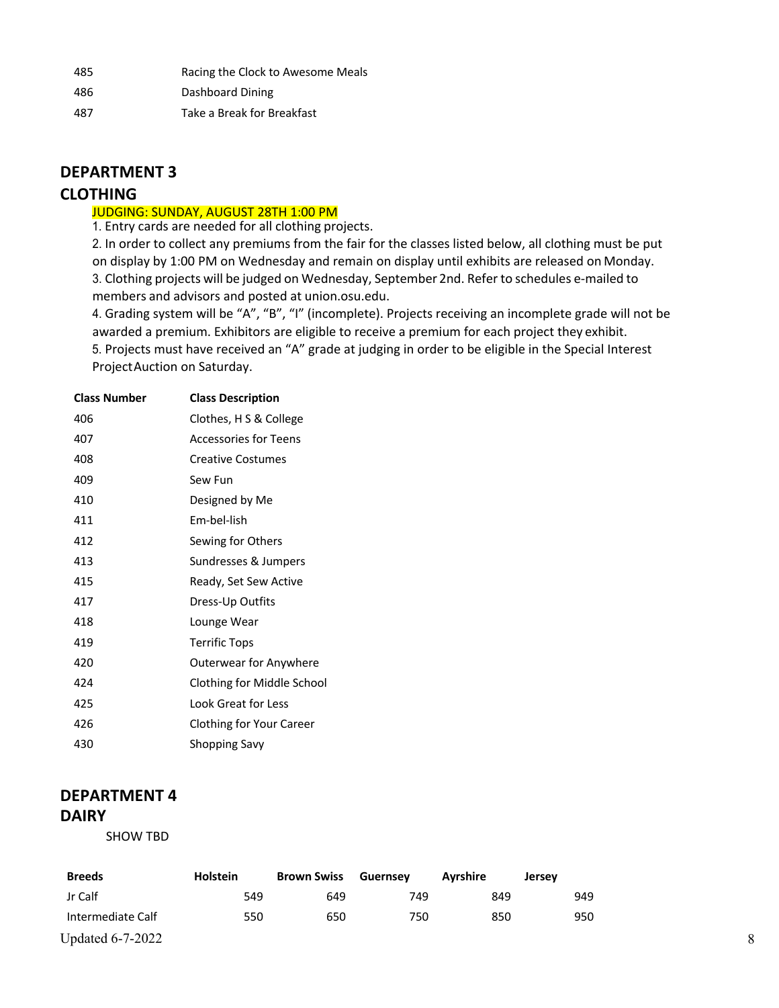| 485 | Racing the Clock to Awesome Meals |
|-----|-----------------------------------|
| 486 | Dashboard Dining                  |
| 487 | Take a Break for Breakfast        |

# **DEPARTMENT 3**

# **CLOTHING**

## JUDGING: SUNDAY, AUGUST 28TH 1:00 PM

1. Entry cards are needed for all clothing projects.

2. In order to collect any premiums from the fair for the classes listed below, all clothing must be put on display by 1:00 PM on Wednesday and remain on display until exhibits are released on Monday. 3. Clothing projects will be judged on Wednesday, September 2nd. Refer to schedules e-mailed to members and advisors and posted at union.osu.edu.

4. Grading system will be "A", "B", "I" (incomplete). Projects receiving an incomplete grade will not be awarded a premium. Exhibitors are eligible to receive a premium for each project they exhibit. 5. Projects must have received an "A" grade at judging in order to be eligible in the Special Interest

ProjectAuction on Saturday.

| <b>Class Number</b> | <b>Class Description</b>   |
|---------------------|----------------------------|
| 406                 | Clothes, H S & College     |
| 407                 | Accessories for Teens      |
| 408                 | <b>Creative Costumes</b>   |
| 409                 | Sew Fun                    |
| 410                 | Designed by Me             |
| 411                 | Em-bel-lish                |
| 412                 | Sewing for Others          |
| 413                 | Sundresses & Jumpers       |
| 415                 | Ready, Set Sew Active      |
| 417                 | Dress-Up Outfits           |
| 418                 | Lounge Wear                |
| 419                 | <b>Terrific Tops</b>       |
| 420                 | Outerwear for Anywhere     |
| 424                 | Clothing for Middle School |
| 425                 | Look Great for Less        |
| 426                 | Clothing for Your Career   |
| 430                 | Shopping Savy              |

# **DEPARTMENT 4 DAIRY**

SHOW TBD

| <b>Breeds</b>           | <b>Holstein</b> | <b>Brown Swiss</b> | <b>Guernsey</b> | Avrshire | <b>Jersey</b> |
|-------------------------|-----------------|--------------------|-----------------|----------|---------------|
| Jr Calf                 | 549             | 649                | 749             | 849      | 949           |
| Intermediate Calf       | 550             | 650                | 750             | 850      | 950           |
| <b>Updated 6-7-2022</b> |                 |                    |                 |          |               |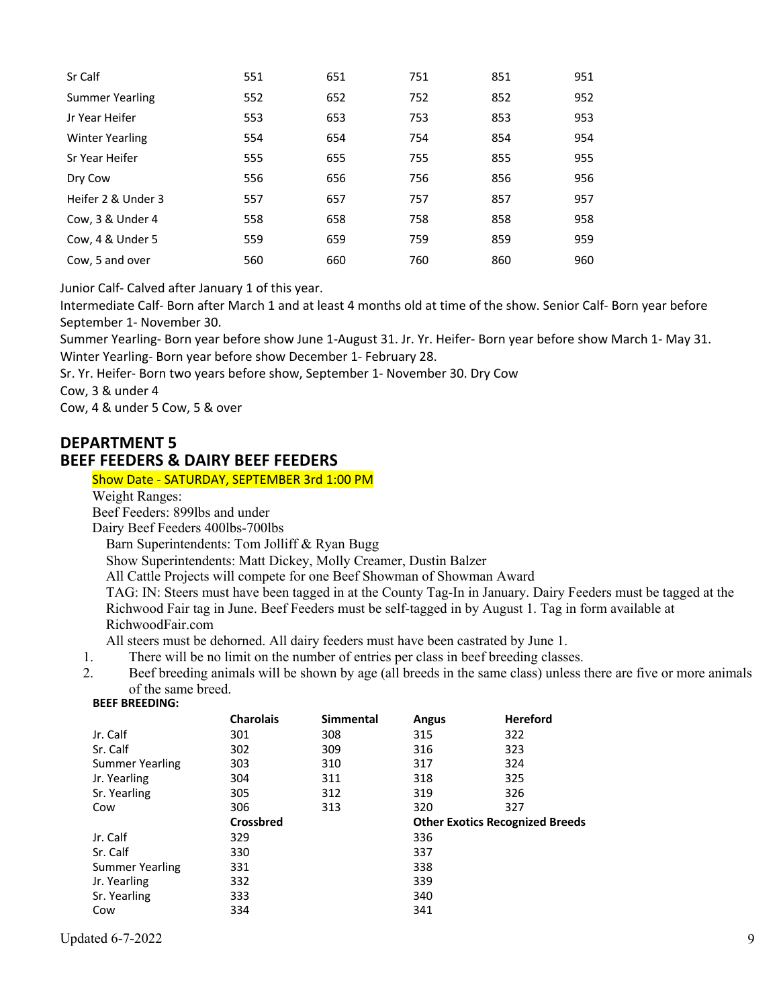| Sr Calf                | 551 | 651 | 751 | 851 | 951 |
|------------------------|-----|-----|-----|-----|-----|
| <b>Summer Yearling</b> | 552 | 652 | 752 | 852 | 952 |
| Jr Year Heifer         | 553 | 653 | 753 | 853 | 953 |
| <b>Winter Yearling</b> | 554 | 654 | 754 | 854 | 954 |
| Sr Year Heifer         | 555 | 655 | 755 | 855 | 955 |
| Dry Cow                | 556 | 656 | 756 | 856 | 956 |
| Heifer 2 & Under 3     | 557 | 657 | 757 | 857 | 957 |
| Cow, 3 & Under 4       | 558 | 658 | 758 | 858 | 958 |
| Cow, 4 & Under 5       | 559 | 659 | 759 | 859 | 959 |
| Cow, 5 and over        | 560 | 660 | 760 | 860 | 960 |

Junior Calf- Calved after January 1 of this year.

Intermediate Calf- Born after March 1 and at least 4 months old at time of the show. Senior Calf- Born year before September 1- November 30.

Summer Yearling- Born year before show June 1-August 31. Jr. Yr. Heifer- Born year before show March 1- May 31. Winter Yearling- Born year before show December 1- February 28.

Sr. Yr. Heifer- Born two years before show, September 1- November 30. Dry Cow

Cow, 3 & under 4

Cow, 4 & under 5 Cow, 5 & over

# **DEPARTMENT 5 BEEF FEEDERS & DAIRY BEEF FEEDERS**

#### Show Date - SATURDAY, SEPTEMBER 3rd 1:00 PM

Weight Ranges:

Beef Feeders: 899lbs and under

Dairy Beef Feeders 400lbs-700lbs

Barn Superintendents: Tom Jolliff & Ryan Bugg

Show Superintendents: Matt Dickey, Molly Creamer, Dustin Balzer

All Cattle Projects will compete for one Beef Showman of Showman Award

TAG: IN: Steers must have been tagged in at the County Tag-In in January. Dairy Feeders must be tagged at the Richwood Fair tag in June. Beef Feeders must be self-tagged in by August 1. Tag in form available at RichwoodFair.com

All steers must be dehorned. All dairy feeders must have been castrated by June 1.

1. There will be no limit on the number of entries per class in beef breeding classes.

2. Beef breeding animals will be shown by age (all breeds in the same class) unless there are five or more animals of the same breed.

#### **BEEF BREEDING:**

|                        | <b>Charolais</b> | <b>Simmental</b> | <b>Angus</b> | <b>Hereford</b>                        |
|------------------------|------------------|------------------|--------------|----------------------------------------|
| Jr. Calf               | 301              | 308              | 315          | 322                                    |
| Sr. Calf               | 302              | 309              | 316          | 323                                    |
| Summer Yearling        | 303              | 310              | 317          | 324                                    |
| Jr. Yearling           | 304              | 311              | 318          | 325                                    |
| Sr. Yearling           | 305              | 312              | 319          | 326                                    |
| Cow                    | 306              | 313              | 320          | 327                                    |
|                        | <b>Crossbred</b> |                  |              | <b>Other Exotics Recognized Breeds</b> |
| Jr. Calf               | 329              |                  | 336          |                                        |
| Sr. Calf               | 330              |                  | 337          |                                        |
| <b>Summer Yearling</b> | 331              |                  | 338          |                                        |
| Jr. Yearling           | 332              |                  | 339          |                                        |
| Sr. Yearling           | 333              |                  | 340          |                                        |
| Cow                    | 334              |                  | 341          |                                        |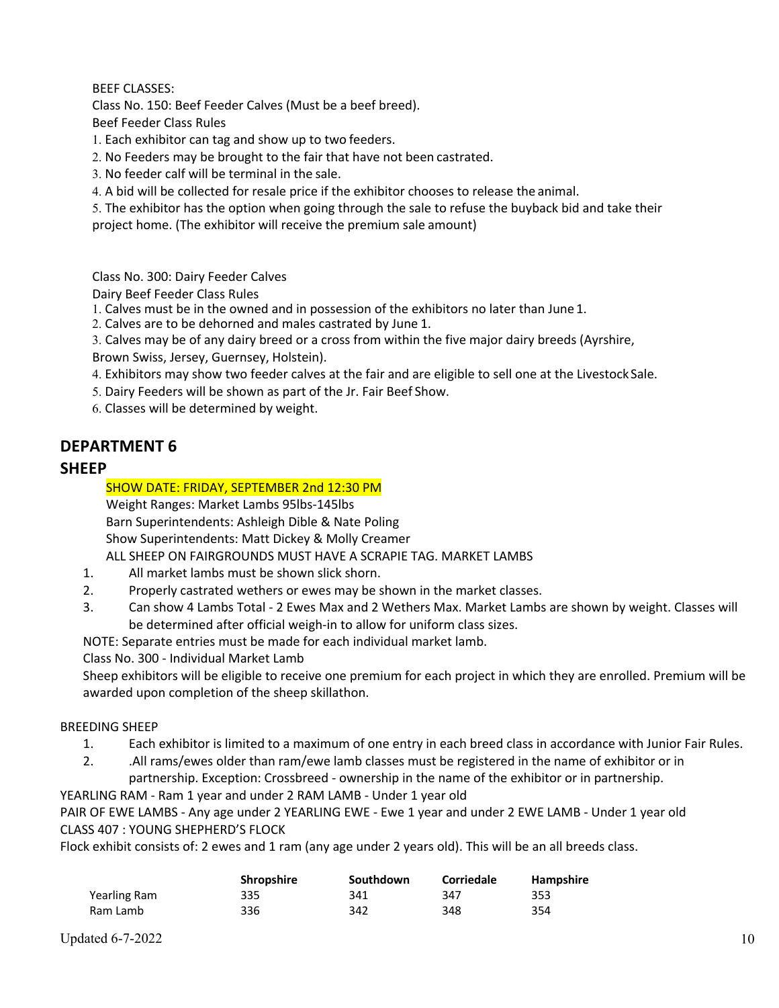BEEF CLASSES:

Class No. 150: Beef Feeder Calves (Must be a beef breed).

Beef Feeder Class Rules

1. Each exhibitor can tag and show up to two feeders.

2. No Feeders may be brought to the fair that have not been castrated.

3. No feeder calf will be terminal in the sale.

4. A bid will be collected for resale price if the exhibitor chooses to release the animal.

5. The exhibitor has the option when going through the sale to refuse the buyback bid and take their project home. (The exhibitor will receive the premium sale amount)

Class No. 300: Dairy Feeder Calves

Dairy Beef Feeder Class Rules

1. Calves must be in the owned and in possession of the exhibitors no later than June 1.

2. Calves are to be dehorned and males castrated by June 1.

3. Calves may be of any dairy breed or a cross from within the five major dairy breeds (Ayrshire,

Brown Swiss, Jersey, Guernsey, Holstein).

4. Exhibitors may show two feeder calves at the fair and are eligible to sell one at the Livestock Sale.

5. Dairy Feeders will be shown as part of the Jr. Fair Beef Show.

6. Classes will be determined by weight.

# **DEPARTMENT 6**

# **SHEEP**

## SHOW DATE: FRIDAY, SEPTEMBER 2nd 12:30 PM

Weight Ranges: Market Lambs 95lbs-145lbs Barn Superintendents: Ashleigh Dible & Nate Poling Show Superintendents: Matt Dickey & Molly Creamer ALL SHEEP ON FAIRGROUNDS MUST HAVE A SCRAPIE TAG. MARKET LAMBS

1. All market lambs must be shown slick shorn.

- 2. Properly castrated wethers or ewes may be shown in the market classes.
- 3. Can show 4 Lambs Total 2 Ewes Max and 2 Wethers Max. Market Lambs are shown by weight. Classes will be determined after official weigh-in to allow for uniform class sizes.

NOTE: Separate entries must be made for each individual market lamb.

Class No. 300 - Individual Market Lamb

Sheep exhibitors will be eligible to receive one premium for each project in which they are enrolled. Premium will be awarded upon completion of the sheep skillathon.

### BREEDING SHEEP

- 1. Each exhibitor is limited to a maximum of one entry in each breed class in accordance with Junior Fair Rules.
- 2. .All rams/ewes older than ram/ewe lamb classes must be registered in the name of exhibitor or in partnership. Exception: Crossbreed - ownership in the name of the exhibitor or in partnership.

### YEARLING RAM - Ram 1 year and under 2 RAM LAMB - Under 1 year old

PAIR OF EWE LAMBS - Any age under 2 YEARLING EWE - Ewe 1 year and under 2 EWE LAMB - Under 1 year old CLASS 407 : YOUNG SHEPHERD'S FLOCK

Flock exhibit consists of: 2 ewes and 1 ram (any age under 2 years old). This will be an all breeds class.

|              | <b>Shropshire</b> | Southdown | <b>Corriedale</b> | Hampshire |
|--------------|-------------------|-----------|-------------------|-----------|
| Yearling Ram | 335               | 341       | 347               | 353       |
| Ram Lamb     | 336               | 342       | 348               | 354       |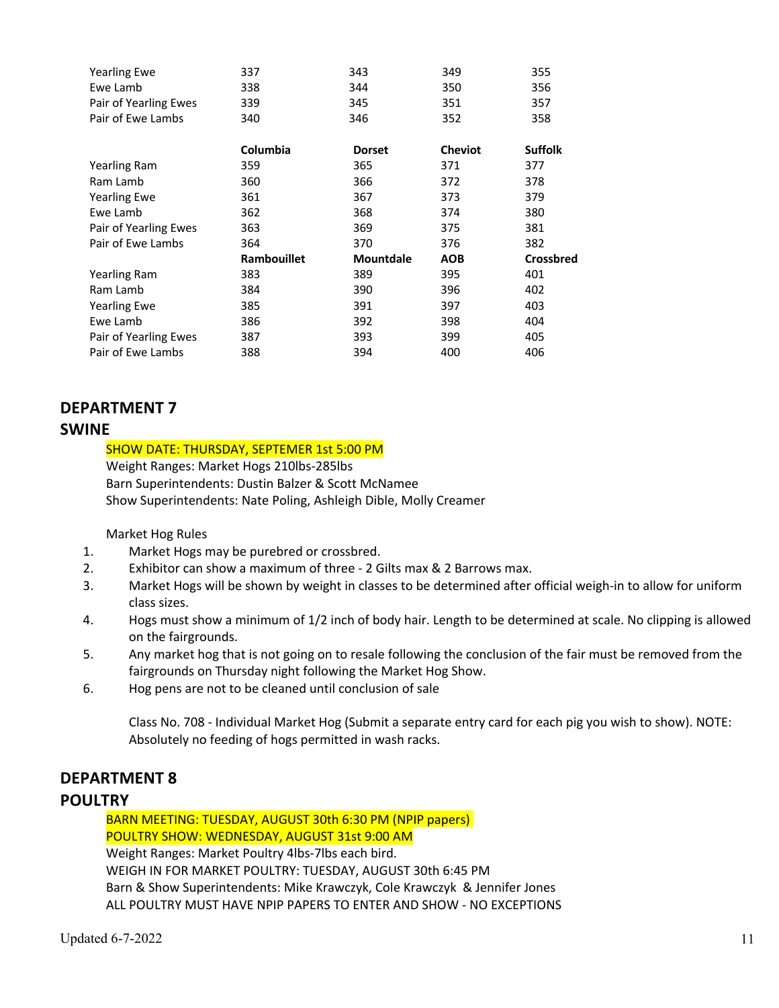| <b>Yearling Ewe</b>   | 337                | 343              | 349            | 355              |
|-----------------------|--------------------|------------------|----------------|------------------|
| Ewe Lamb              | 338                | 344              | 350            | 356              |
| Pair of Yearling Ewes | 339                | 345              | 351            | 357              |
| Pair of Ewe Lambs     | 340                | 346              | 352            | 358              |
|                       | Columbia           | <b>Dorset</b>    | <b>Cheviot</b> | <b>Suffolk</b>   |
| Yearling Ram          | 359                | 365              | 371            | 377              |
| Ram Lamb              | 360                | 366              | 372            | 378              |
| <b>Yearling Ewe</b>   | 361                | 367              | 373            | 379              |
| Ewe Lamb              | 362                | 368              | 374            | 380              |
| Pair of Yearling Ewes | 363                | 369              | 375            | 381              |
| Pair of Ewe Lambs     | 364                | 370              | 376            | 382              |
|                       | <b>Rambouillet</b> | <b>Mountdale</b> | AOB            | <b>Crossbred</b> |
| Yearling Ram          | 383                | 389              | 395            | 401              |
| Ram Lamb              | 384                | 390              | 396            | 402              |
| <b>Yearling Ewe</b>   | 385                | 391              | 397            | 403              |
| Ewe Lamb              | 386                | 392              | 398            | 404              |
| Pair of Yearling Ewes | 387                | 393              | 399            | 405              |
| Pair of Ewe Lambs     | 388                | 394              | 400            | 406              |

# **DEPARTMENT 7**

# **SWINE**

### SHOW DATE: THURSDAY, SEPTEMER 1st 5:00 PM

Weight Ranges: Market Hogs 210lbs-285lbs Barn Superintendents: Dustin Balzer & Scott McNamee Show Superintendents: Nate Poling, Ashleigh Dible, Molly Creamer

Market Hog Rules

- 1. Market Hogs may be purebred or crossbred.
- 2. Exhibitor can show a maximum of three 2 Gilts max & 2 Barrows max.
- 3. Market Hogs will be shown by weight in classes to be determined after official weigh-in to allow for uniform class sizes.
- 4. Hogs must show a minimum of 1/2 inch of body hair. Length to be determined at scale. No clipping is allowed on the fairgrounds.
- 5. Any market hog that is not going on to resale following the conclusion of the fair must be removed from the fairgrounds on Thursday night following the Market Hog Show.
- 6. Hog pens are not to be cleaned until conclusion of sale

Class No. 708 - Individual Market Hog (Submit a separate entry card for each pig you wish to show). NOTE: Absolutely no feeding of hogs permitted in wash racks.

# **DEPARTMENT 8**

# **POULTRY**

BARN MEETING: TUESDAY, AUGUST 30th 6:30 PM (NPIP papers) POULTRY SHOW: WEDNESDAY, AUGUST 31st 9:00 AM Weight Ranges: Market Poultry 4lbs-7lbs each bird. WEIGH IN FOR MARKET POULTRY: TUESDAY, AUGUST 30th 6:45 PM Barn & Show Superintendents: Mike Krawczyk, Cole Krawczyk & Jennifer Jones ALL POULTRY MUST HAVE NPIP PAPERS TO ENTER AND SHOW - NO EXCEPTIONS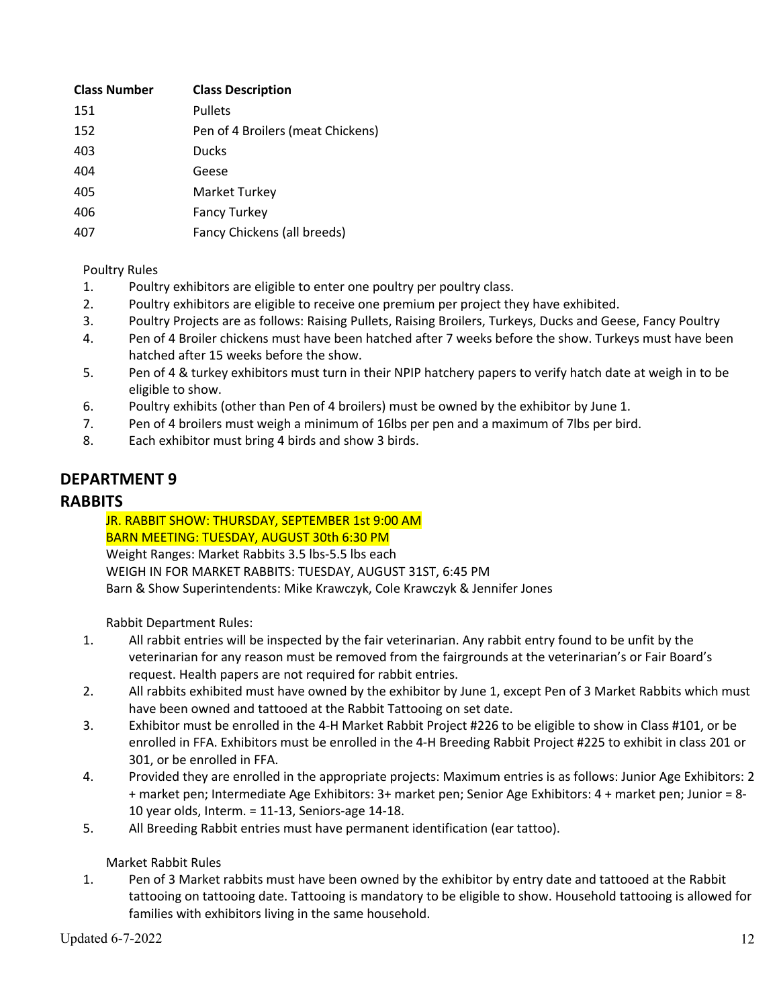| <b>Class Number</b> | <b>Class Description</b>          |
|---------------------|-----------------------------------|
| 151                 | <b>Pullets</b>                    |
| 152                 | Pen of 4 Broilers (meat Chickens) |
| 403                 | <b>Ducks</b>                      |
| 404                 | Geese                             |
| 405                 | <b>Market Turkey</b>              |
| 406                 | <b>Fancy Turkey</b>               |
| 407                 | Fancy Chickens (all breeds)       |
|                     |                                   |

Poultry Rules

- 1. Poultry exhibitors are eligible to enter one poultry per poultry class.
- 2. Poultry exhibitors are eligible to receive one premium per project they have exhibited.
- 3. Poultry Projects are as follows: Raising Pullets, Raising Broilers, Turkeys, Ducks and Geese, Fancy Poultry
- 4. Pen of 4 Broiler chickens must have been hatched after 7 weeks before the show. Turkeys must have been hatched after 15 weeks before the show.
- 5. Pen of 4 & turkey exhibitors must turn in their NPIP hatchery papers to verify hatch date at weigh in to be eligible to show.
- 6. Poultry exhibits (other than Pen of 4 broilers) must be owned by the exhibitor by June 1.
- 7. Pen of 4 broilers must weigh a minimum of 16lbs per pen and a maximum of 7lbs per bird.
- 8. Each exhibitor must bring 4 birds and show 3 birds.

# **DEPARTMENT 9**

## **RABBITS**

JR. RABBIT SHOW: THURSDAY, SEPTEMBER 1st 9:00 AM BARN MEETING: TUESDAY, AUGUST 30th 6:30 PM Weight Ranges: Market Rabbits 3.5 lbs-5.5 lbs each WEIGH IN FOR MARKET RABBITS: TUESDAY, AUGUST 31ST, 6:45 PM Barn & Show Superintendents: Mike Krawczyk, Cole Krawczyk & Jennifer Jones

Rabbit Department Rules:

- 1. All rabbit entries will be inspected by the fair veterinarian. Any rabbit entry found to be unfit by the veterinarian for any reason must be removed from the fairgrounds at the veterinarian's or Fair Board's request. Health papers are not required for rabbit entries.
- 2. All rabbits exhibited must have owned by the exhibitor by June 1, except Pen of 3 Market Rabbits which must have been owned and tattooed at the Rabbit Tattooing on set date.
- 3. Exhibitor must be enrolled in the 4-H Market Rabbit Project #226 to be eligible to show in Class #101, or be enrolled in FFA. Exhibitors must be enrolled in the 4-H Breeding Rabbit Project #225 to exhibit in class 201 or 301, or be enrolled in FFA.
- 4. Provided they are enrolled in the appropriate projects: Maximum entries is as follows: Junior Age Exhibitors: 2 + market pen; Intermediate Age Exhibitors: 3+ market pen; Senior Age Exhibitors: 4 + market pen; Junior = 8- 10 year olds, Interm. = 11-13, Seniors-age 14-18.
- 5. All Breeding Rabbit entries must have permanent identification (ear tattoo).

### Market Rabbit Rules

1. Pen of 3 Market rabbits must have been owned by the exhibitor by entry date and tattooed at the Rabbit tattooing on tattooing date. Tattooing is mandatory to be eligible to show. Household tattooing is allowed for families with exhibitors living in the same household.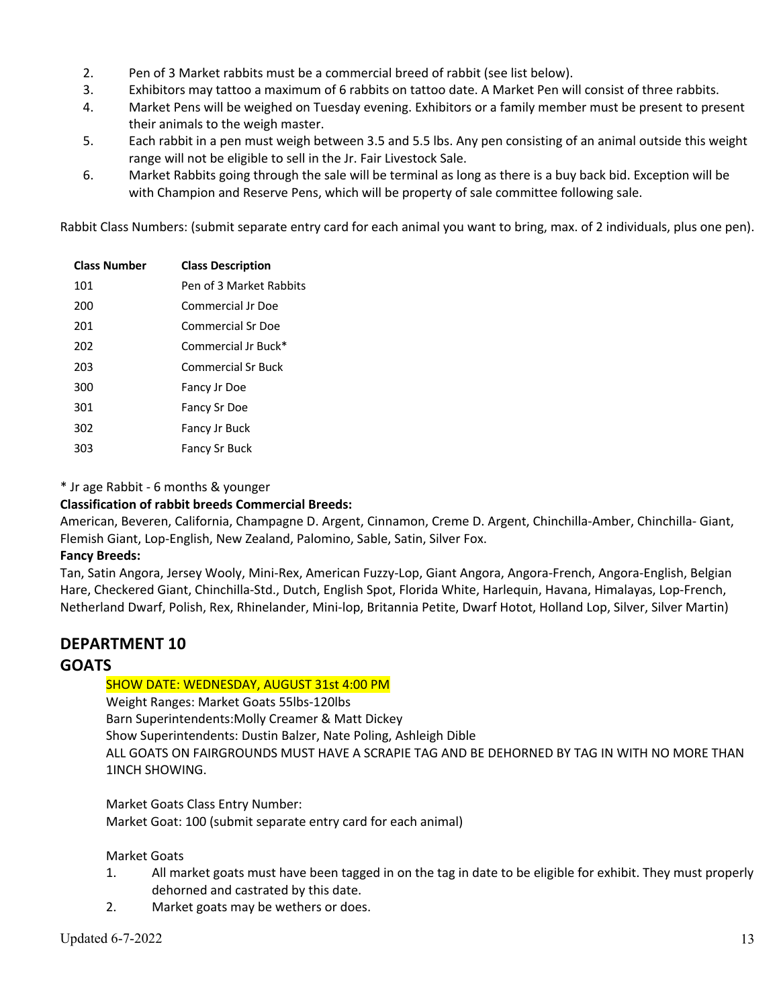- 2. Pen of 3 Market rabbits must be a commercial breed of rabbit (see list below).
- 3. Exhibitors may tattoo a maximum of 6 rabbits on tattoo date. A Market Pen will consist of three rabbits.
- 4. Market Pens will be weighed on Tuesday evening. Exhibitors or a family member must be present to present their animals to the weigh master.
- 5. Each rabbit in a pen must weigh between 3.5 and 5.5 lbs. Any pen consisting of an animal outside this weight range will not be eligible to sell in the Jr. Fair Livestock Sale.
- 6. Market Rabbits going through the sale will be terminal as long as there is a buy back bid. Exception will be with Champion and Reserve Pens, which will be property of sale committee following sale.

Rabbit Class Numbers: (submit separate entry card for each animal you want to bring, max. of 2 individuals, plus one pen).

| <b>Class Number</b> | <b>Class Description</b> |
|---------------------|--------------------------|
| 101                 | Pen of 3 Market Rabbits  |
| 200                 | Commercial Ir Doe        |
| 201                 | Commercial Sr Doe        |
| 202                 | Commercial Ir Buck*      |
| 203                 | Commercial Sr Buck       |
| 300                 | Fancy Jr Doe             |
| 301                 | Fancy Sr Doe             |
| 302                 | Fancy Jr Buck            |
| 303                 | Fancy Sr Buck            |

#### \* Jr age Rabbit - 6 months & younger

### **Classification of rabbit breeds Commercial Breeds:**

American, Beveren, California, Champagne D. Argent, Cinnamon, Creme D. Argent, Chinchilla-Amber, Chinchilla- Giant, Flemish Giant, Lop-English, New Zealand, Palomino, Sable, Satin, Silver Fox.

#### **Fancy Breeds:**

Tan, Satin Angora, Jersey Wooly, Mini-Rex, American Fuzzy-Lop, Giant Angora, Angora-French, Angora-English, Belgian Hare, Checkered Giant, Chinchilla-Std., Dutch, English Spot, Florida White, Harlequin, Havana, Himalayas, Lop-French, Netherland Dwarf, Polish, Rex, Rhinelander, Mini-lop, Britannia Petite, Dwarf Hotot, Holland Lop, Silver, Silver Martin)

# **DEPARTMENT 10**

# **GOATS**

### SHOW DATE: WEDNESDAY, AUGUST 31st 4:00 PM

Weight Ranges: Market Goats 55lbs-120lbs Barn Superintendents:Molly Creamer & Matt Dickey Show Superintendents: Dustin Balzer, Nate Poling, Ashleigh Dible ALL GOATS ON FAIRGROUNDS MUST HAVE A SCRAPIE TAG AND BE DEHORNED BY TAG IN WITH NO MORE THAN 1INCH SHOWING.

Market Goats Class Entry Number: Market Goat: 100 (submit separate entry card for each animal)

#### Market Goats

- 1. All market goats must have been tagged in on the tag in date to be eligible for exhibit. They must properly dehorned and castrated by this date.
- 2. Market goats may be wethers or does.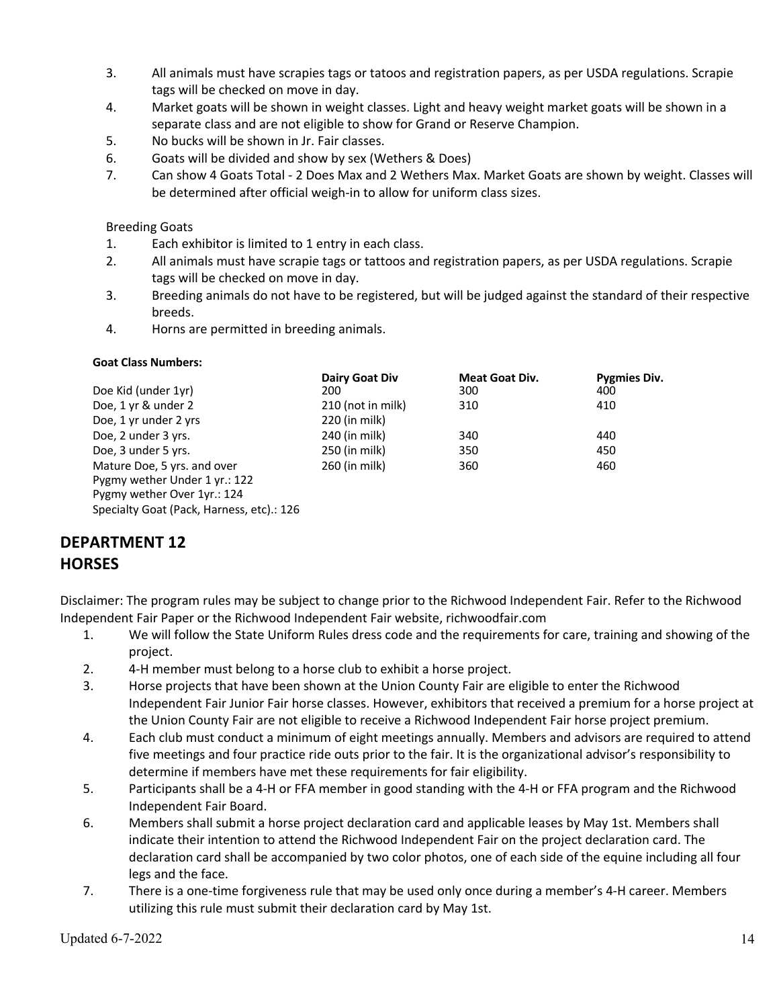- 3. All animals must have scrapies tags or tatoos and registration papers, as per USDA regulations. Scrapie tags will be checked on move in day.
- 4. Market goats will be shown in weight classes. Light and heavy weight market goats will be shown in a separate class and are not eligible to show for Grand or Reserve Champion.
- 5. No bucks will be shown in Jr. Fair classes.
- 6. Goats will be divided and show by sex (Wethers & Does)
- 7. Can show 4 Goats Total 2 Does Max and 2 Wethers Max. Market Goats are shown by weight. Classes will be determined after official weigh-in to allow for uniform class sizes.

## Breeding Goats

- 1. Each exhibitor is limited to 1 entry in each class.
- 2. All animals must have scrapie tags or tattoos and registration papers, as per USDA regulations. Scrapie tags will be checked on move in day.
- 3. Breeding animals do not have to be registered, but will be judged against the standard of their respective breeds.
- 4. Horns are permitted in breeding animals.

### **Goat Class Numbers:**

|                                           | Dairy Goat Div    | <b>Meat Goat Div.</b> | <b>Pygmies Div.</b> |
|-------------------------------------------|-------------------|-----------------------|---------------------|
| Doe Kid (under 1yr)                       | 200               | 300                   | 400                 |
| Doe, 1 yr & under 2                       | 210 (not in milk) | 310                   | 410                 |
| Doe, 1 yr under 2 yrs                     | 220 (in milk)     |                       |                     |
| Doe, 2 under 3 yrs.                       | 240 (in milk)     | 340                   | 440                 |
| Doe, 3 under 5 yrs.                       | 250 (in milk)     | 350                   | 450                 |
| Mature Doe, 5 yrs. and over               | 260 (in milk)     | 360                   | 460                 |
| Pygmy wether Under 1 yr.: 122             |                   |                       |                     |
| Pygmy wether Over 1yr.: 124               |                   |                       |                     |
| Specialty Goat (Pack, Harness, etc).: 126 |                   |                       |                     |

# **DEPARTMENT 12 HORSES**

Disclaimer: The program rules may be subject to change prior to the Richwood Independent Fair. Refer to the Richwood Independent Fair Paper or the Richwood Independent Fair website, richwoodfair.com

- 1. We will follow the State Uniform Rules dress code and the requirements for care, training and showing of the project.
- 2. 4-H member must belong to a horse club to exhibit a horse project.
- 3. Horse projects that have been shown at the Union County Fair are eligible to enter the Richwood Independent Fair Junior Fair horse classes. However, exhibitors that received a premium for a horse project at the Union County Fair are not eligible to receive a Richwood Independent Fair horse project premium.
- 4. Each club must conduct a minimum of eight meetings annually. Members and advisors are required to attend five meetings and four practice ride outs prior to the fair. It is the organizational advisor's responsibility to determine if members have met these requirements for fair eligibility.
- 5. Participants shall be a 4-H or FFA member in good standing with the 4-H or FFA program and the Richwood Independent Fair Board.
- 6. Members shall submit a horse project declaration card and applicable leases by May 1st. Members shall indicate their intention to attend the Richwood Independent Fair on the project declaration card. The declaration card shall be accompanied by two color photos, one of each side of the equine including all four legs and the face.
- 7. There is a one-time forgiveness rule that may be used only once during a member's 4-H career. Members utilizing this rule must submit their declaration card by May 1st.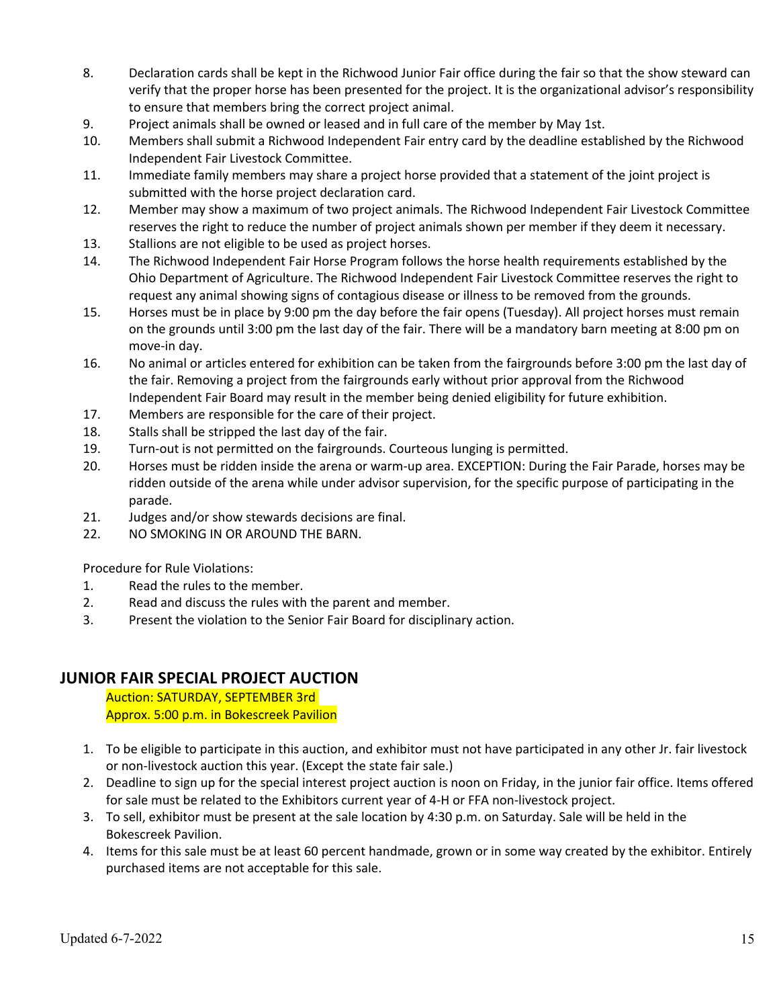- 8. Declaration cards shall be kept in the Richwood Junior Fair office during the fair so that the show steward can verify that the proper horse has been presented for the project. It is the organizational advisor's responsibility to ensure that members bring the correct project animal.
- 9. Project animals shall be owned or leased and in full care of the member by May 1st.
- 10. Members shall submit a Richwood Independent Fair entry card by the deadline established by the Richwood Independent Fair Livestock Committee.
- 11. Immediate family members may share a project horse provided that a statement of the joint project is submitted with the horse project declaration card.
- 12. Member may show a maximum of two project animals. The Richwood Independent Fair Livestock Committee reserves the right to reduce the number of project animals shown per member if they deem it necessary.
- 13. Stallions are not eligible to be used as project horses.
- 14. The Richwood Independent Fair Horse Program follows the horse health requirements established by the Ohio Department of Agriculture. The Richwood Independent Fair Livestock Committee reserves the right to request any animal showing signs of contagious disease or illness to be removed from the grounds.
- 15. Horses must be in place by 9:00 pm the day before the fair opens (Tuesday). All project horses must remain on the grounds until 3:00 pm the last day of the fair. There will be a mandatory barn meeting at 8:00 pm on move-in day.
- 16. No animal or articles entered for exhibition can be taken from the fairgrounds before 3:00 pm the last day of the fair. Removing a project from the fairgrounds early without prior approval from the Richwood Independent Fair Board may result in the member being denied eligibility for future exhibition.
- 17. Members are responsible for the care of their project.
- 18. Stalls shall be stripped the last day of the fair.
- 19. Turn-out is not permitted on the fairgrounds. Courteous lunging is permitted.
- 20. Horses must be ridden inside the arena or warm-up area. EXCEPTION: During the Fair Parade, horses may be ridden outside of the arena while under advisor supervision, for the specific purpose of participating in the parade.
- 21. Judges and/or show stewards decisions are final.
- 22. NO SMOKING IN OR AROUND THE BARN.

Procedure for Rule Violations:

- 1. Read the rules to the member.
- 2. Read and discuss the rules with the parent and member.
- 3. Present the violation to the Senior Fair Board for disciplinary action.

# **JUNIOR FAIR SPECIAL PROJECT AUCTION**

Auction: SATURDAY, SEPTEMBER 3rd Approx. 5:00 p.m. in Bokescreek Pavilion

- 1. To be eligible to participate in this auction, and exhibitor must not have participated in any other Jr. fair livestock or non-livestock auction this year. (Except the state fair sale.)
- 2. Deadline to sign up for the special interest project auction is noon on Friday, in the junior fair office. Items offered for sale must be related to the Exhibitors current year of 4-H or FFA non-livestock project.
- 3. To sell, exhibitor must be present at the sale location by 4:30 p.m. on Saturday. Sale will be held in the Bokescreek Pavilion.
- 4. Items for this sale must be at least 60 percent handmade, grown or in some way created by the exhibitor. Entirely purchased items are not acceptable for this sale.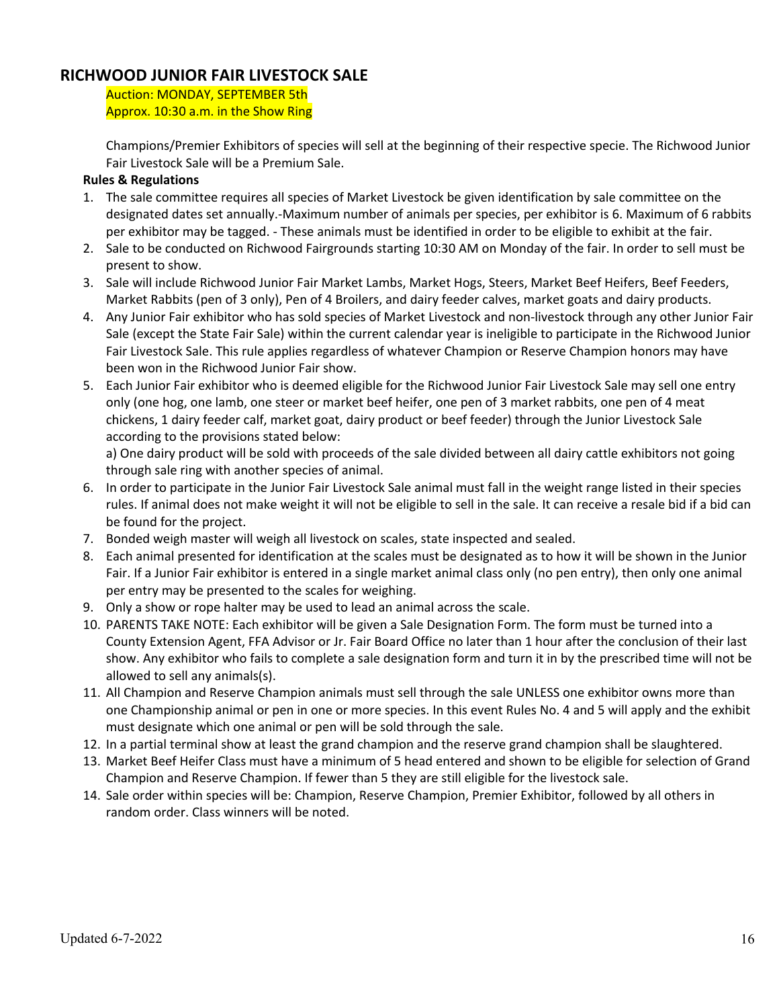# **RICHWOOD JUNIOR FAIR LIVESTOCK SALE**

Auction: MONDAY, SEPTEMBER 5th Approx. 10:30 a.m. in the Show Ring

Champions/Premier Exhibitors of species will sell at the beginning of their respective specie. The Richwood Junior Fair Livestock Sale will be a Premium Sale.

# **Rules & Regulations**

- 1. The sale committee requires all species of Market Livestock be given identification by sale committee on the designated dates set annually.-Maximum number of animals per species, per exhibitor is 6. Maximum of 6 rabbits per exhibitor may be tagged. - These animals must be identified in order to be eligible to exhibit at the fair.
- 2. Sale to be conducted on Richwood Fairgrounds starting 10:30 AM on Monday of the fair. In order to sell must be present to show.
- 3. Sale will include Richwood Junior Fair Market Lambs, Market Hogs, Steers, Market Beef Heifers, Beef Feeders, Market Rabbits (pen of 3 only), Pen of 4 Broilers, and dairy feeder calves, market goats and dairy products.
- 4. Any Junior Fair exhibitor who has sold species of Market Livestock and non-livestock through any other Junior Fair Sale (except the State Fair Sale) within the current calendar year is ineligible to participate in the Richwood Junior Fair Livestock Sale. This rule applies regardless of whatever Champion or Reserve Champion honors may have been won in the Richwood Junior Fair show.
- 5. Each Junior Fair exhibitor who is deemed eligible for the Richwood Junior Fair Livestock Sale may sell one entry only (one hog, one lamb, one steer or market beef heifer, one pen of 3 market rabbits, one pen of 4 meat chickens, 1 dairy feeder calf, market goat, dairy product or beef feeder) through the Junior Livestock Sale according to the provisions stated below:

a) One dairy product will be sold with proceeds of the sale divided between all dairy cattle exhibitors not going through sale ring with another species of animal.

- 6. In order to participate in the Junior Fair Livestock Sale animal must fall in the weight range listed in their species rules. If animal does not make weight it will not be eligible to sell in the sale. It can receive a resale bid if a bid can be found for the project.
- 7. Bonded weigh master will weigh all livestock on scales, state inspected and sealed.
- 8. Each animal presented for identification at the scales must be designated as to how it will be shown in the Junior Fair. If a Junior Fair exhibitor is entered in a single market animal class only (no pen entry), then only one animal per entry may be presented to the scales for weighing.
- 9. Only a show or rope halter may be used to lead an animal across the scale.
- 10. PARENTS TAKE NOTE: Each exhibitor will be given a Sale Designation Form. The form must be turned into a County Extension Agent, FFA Advisor or Jr. Fair Board Office no later than 1 hour after the conclusion of their last show. Any exhibitor who fails to complete a sale designation form and turn it in by the prescribed time will not be allowed to sell any animals(s).
- 11. All Champion and Reserve Champion animals must sell through the sale UNLESS one exhibitor owns more than one Championship animal or pen in one or more species. In this event Rules No. 4 and 5 will apply and the exhibit must designate which one animal or pen will be sold through the sale.
- 12. In a partial terminal show at least the grand champion and the reserve grand champion shall be slaughtered.
- 13. Market Beef Heifer Class must have a minimum of 5 head entered and shown to be eligible for selection of Grand Champion and Reserve Champion. If fewer than 5 they are still eligible for the livestock sale.
- 14. Sale order within species will be: Champion, Reserve Champion, Premier Exhibitor, followed by all others in random order. Class winners will be noted.